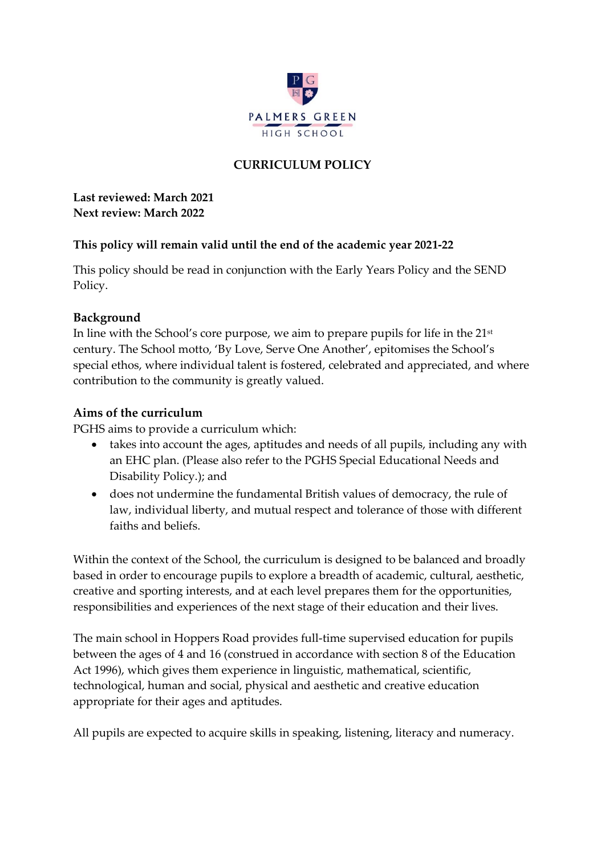

# **CURRICULUM POLICY**

**Last reviewed: March 2021 Next review: March 2022**

### **This policy will remain valid until the end of the academic year 2021-22**

This policy should be read in conjunction with the Early Years Policy and the SEND Policy.

### **Background**

In line with the School's core purpose, we aim to prepare pupils for life in the 21st century. The School motto, 'By Love, Serve One Another', epitomises the School's special ethos, where individual talent is fostered, celebrated and appreciated, and where contribution to the community is greatly valued.

### **Aims of the curriculum**

PGHS aims to provide a curriculum which:

- takes into account the ages, aptitudes and needs of all pupils, including any with an EHC plan. (Please also refer to the PGHS Special Educational Needs and Disability Policy.); and
- does not undermine the fundamental British values of democracy, the rule of law, individual liberty, and mutual respect and tolerance of those with different faiths and beliefs.

Within the context of the School, the curriculum is designed to be balanced and broadly based in order to encourage pupils to explore a breadth of academic, cultural, aesthetic, creative and sporting interests, and at each level prepares them for the opportunities, responsibilities and experiences of the next stage of their education and their lives.

The main school in Hoppers Road provides full-time supervised education for pupils between the ages of 4 and 16 (construed in accordance with section 8 of the Education Act 1996), which gives them experience in linguistic, mathematical, scientific, technological, human and social, physical and aesthetic and creative education appropriate for their ages and aptitudes.

All pupils are expected to acquire skills in speaking, listening, literacy and numeracy.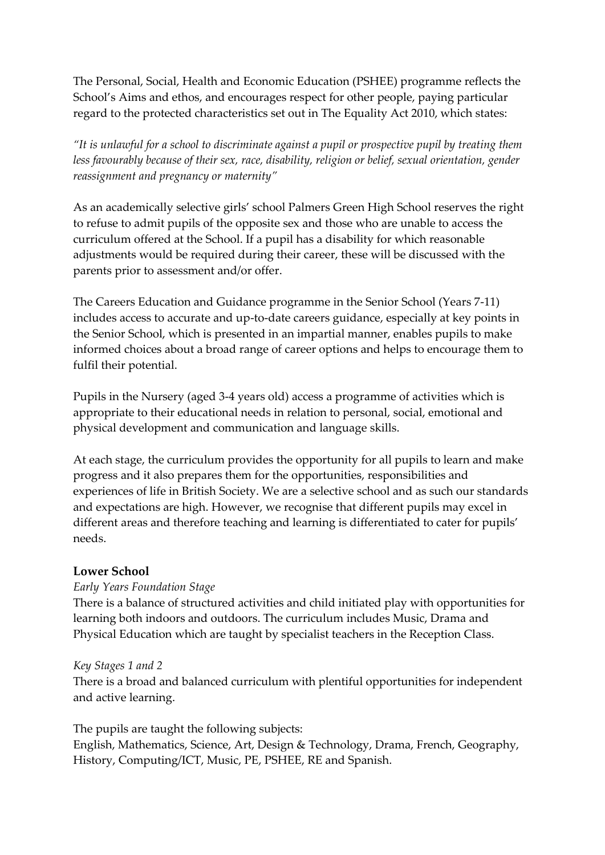The Personal, Social, Health and Economic Education (PSHEE) programme reflects the School's Aims and ethos, and encourages respect for other people, paying particular regard to the protected characteristics set out in The Equality Act 2010, which states:

*"It is unlawful for a school to discriminate against a pupil or prospective pupil by treating them*  less favourably because of their sex, race, disability, religion or belief, sexual orientation, gender *reassignment and pregnancy or maternity"* 

As an academically selective girls' school Palmers Green High School reserves the right to refuse to admit pupils of the opposite sex and those who are unable to access the curriculum offered at the School. If a pupil has a disability for which reasonable adjustments would be required during their career, these will be discussed with the parents prior to assessment and/or offer.

The Careers Education and Guidance programme in the Senior School (Years 7-11) includes access to accurate and up-to-date careers guidance, especially at key points in the Senior School, which is presented in an impartial manner, enables pupils to make informed choices about a broad range of career options and helps to encourage them to fulfil their potential.

Pupils in the Nursery (aged 3-4 years old) access a programme of activities which is appropriate to their educational needs in relation to personal, social, emotional and physical development and communication and language skills.

At each stage, the curriculum provides the opportunity for all pupils to learn and make progress and it also prepares them for the opportunities, responsibilities and experiences of life in British Society. We are a selective school and as such our standards and expectations are high. However, we recognise that different pupils may excel in different areas and therefore teaching and learning is differentiated to cater for pupils' needs.

## **Lower School**

## *Early Years Foundation Stage*

There is a balance of structured activities and child initiated play with opportunities for learning both indoors and outdoors. The curriculum includes Music, Drama and Physical Education which are taught by specialist teachers in the Reception Class.

### *Key Stages 1 and 2*

There is a broad and balanced curriculum with plentiful opportunities for independent and active learning.

The pupils are taught the following subjects:

English, Mathematics, Science, Art, Design & Technology, Drama, French, Geography, History, Computing/ICT, Music, PE, PSHEE, RE and Spanish.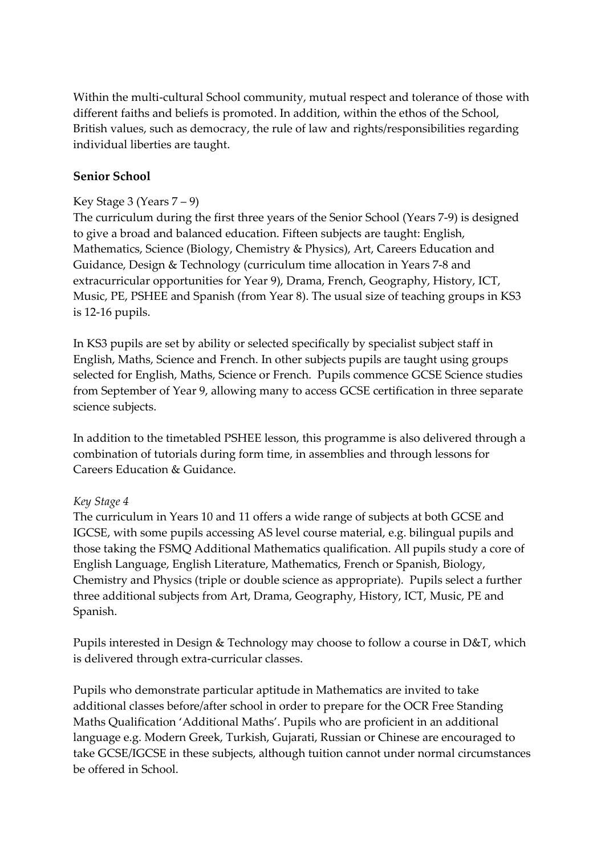Within the multi-cultural School community, mutual respect and tolerance of those with different faiths and beliefs is promoted. In addition, within the ethos of the School, British values, such as democracy, the rule of law and rights/responsibilities regarding individual liberties are taught.

## **Senior School**

# Key Stage 3 (Years  $7 - 9$ )

The curriculum during the first three years of the Senior School (Years 7-9) is designed to give a broad and balanced education. Fifteen subjects are taught: English, Mathematics, Science (Biology, Chemistry & Physics), Art, Careers Education and Guidance, Design & Technology (curriculum time allocation in Years 7-8 and extracurricular opportunities for Year 9), Drama, French, Geography, History, ICT, Music, PE, PSHEE and Spanish (from Year 8). The usual size of teaching groups in KS3 is 12-16 pupils.

In KS3 pupils are set by ability or selected specifically by specialist subject staff in English, Maths, Science and French. In other subjects pupils are taught using groups selected for English, Maths, Science or French. Pupils commence GCSE Science studies from September of Year 9, allowing many to access GCSE certification in three separate science subjects.

In addition to the timetabled PSHEE lesson, this programme is also delivered through a combination of tutorials during form time, in assemblies and through lessons for Careers Education & Guidance.

## *Key Stage 4*

The curriculum in Years 10 and 11 offers a wide range of subjects at both GCSE and IGCSE, with some pupils accessing AS level course material, e.g. bilingual pupils and those taking the FSMQ Additional Mathematics qualification. All pupils study a core of English Language, English Literature, Mathematics, French or Spanish, Biology, Chemistry and Physics (triple or double science as appropriate). Pupils select a further three additional subjects from Art, Drama, Geography, History, ICT, Music, PE and Spanish.

Pupils interested in Design & Technology may choose to follow a course in D&T, which is delivered through extra-curricular classes.

Pupils who demonstrate particular aptitude in Mathematics are invited to take additional classes before/after school in order to prepare for the OCR Free Standing Maths Qualification 'Additional Maths'. Pupils who are proficient in an additional language e.g. Modern Greek, Turkish, Gujarati, Russian or Chinese are encouraged to take GCSE/IGCSE in these subjects, although tuition cannot under normal circumstances be offered in School.